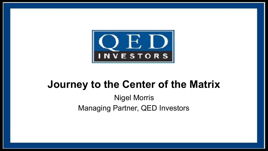

# **Journey to the Center of the Matrix**

Nigel Morris Managing Partner, QED Investors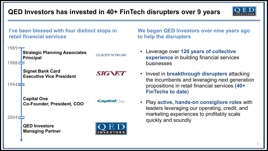**QED Investors has invested in 40+ FinTech disrupters over 9 years**





**We began QED Investors over nine years ago to help the disrupters**

- Leverage over **120 years of collective experience** in building financial services
- Invest in **breakthrough disrupters** attacking the incumbents and leveraging next generation propositions in retail financial services (**40+ FinTechs to date**)
- Play **active, hands-on consigliore roles** with leaders leveraging our operating, credit, and marketing experiences to profitably scale quickly and soundly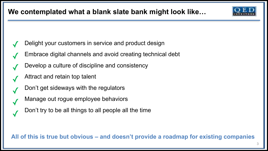## **We contemplated what a blank slate bank might look like…**

- Delight your customers in service and product design ✓
- Embrace digital channels and avoid creating technical debt ✓
- Develop a culture of discipline and consistency ✓
- Attract and retain top talent ✓

✓

- Don't get sideways with the regulators ✓
- Manage out rogue employee behaviors ✓
	- Don't try to be all things to all people all the time

**All of this is true but obvious – and doesn't provide a roadmap for existing companies**

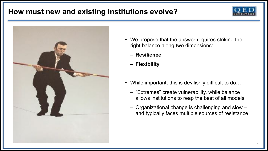### **How must new and existing institutions evolve?**





- We propose that the answer requires striking the right balance along two dimensions:
	- **Resilience**
	- **Flexibility**
- While important, this is devilishly difficult to do...
	- "Extremes" create vulnerability, while balance allows institutions to reap the best of all models
	- Organizational change is challenging and slow and typically faces multiple sources of resistance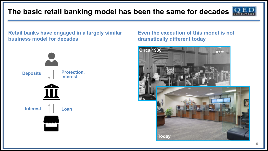## **The basic retail banking model has been the same for decades**



**Retail banks have engaged in a largely similar business model for decades**



#### **Even the execution of this model is not dramatically different today**

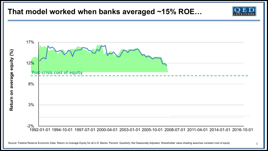### **That model worked when banks averaged ~15% ROE…**



Source: Federal Reserve Economic Data. Return on Average Equity for all U.S. Banks, Percent, Quarterly, Not Seasonally Adjusted. Shareholder value shading assumes constant cost of equity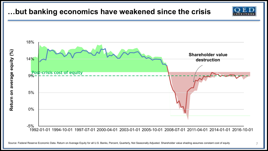### **…but banking economics have weakened since the crisis**

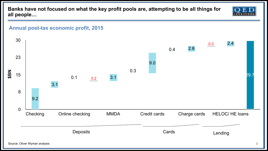**Banks have not focused on what the key profit pools are, attempting to be all things for all people…**



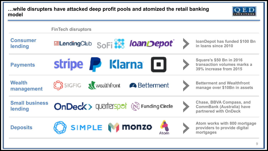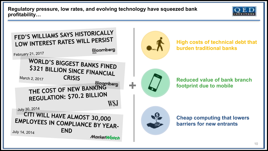**Regulatory pressure, low rates, and evolving technology have squeezed bank profitability…**



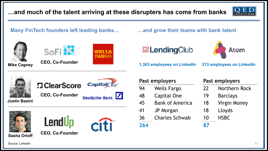**…and much of the talent arriving at these disrupters has come from banks**



**Many FinTech founders left leading banks… …and grow their teams with bank talent**







**Mike Cagney CEO, Co-Founder**



# **ElendingClub**



**1,363 employees on LinkedIn 213 employees on LinkedIn**



| Past employers |                        | Past employers |                     |
|----------------|------------------------|----------------|---------------------|
| 94             | <b>Wells Fargo</b>     | 22             | Northern Rock       |
| 48             | Capital One            | 19             | <b>Barclays</b>     |
| 45             | <b>Bank of America</b> | 18             | <b>Virgin Money</b> |
| 41             | JP Morgan              | 18             | Lloyds              |
| 36             | <b>Charles Schwab</b>  | 10             | <b>HSBC</b>         |
| 264            |                        | 87             |                     |

Source: LinkedIn

**Sasha Orloff**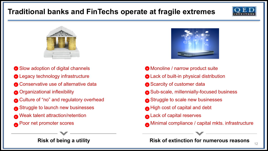# **Traditional banks and FinTechs operate at fragile extremes**





- **•** Slow adoption of digital channels
- **P** Legacy technology infrastructure
- **•** Conservative use of alternative data
- **-** Organizational inflexibility
- **-** Culture of "no" and regulatory overhead
- Struggle to launch new businesses **-**
- Weak talent attraction/retention **-**
- Poor net promoter scores **- -**



- Monoline / narrow product suite **-**
- Lack of built-in physical distribution **-**
- **-** Scarcity of customer data
- Sub-scale, millennially-focused business **-**
- Struggle to scale new businesses **-**
- High cost of capital and debt **-**
- Lack of capital reserves **-**
- **Minimal compliance / capital mkts. infrastructure**

<sup>12</sup> **Risk of being a utility Risk of extinction for numerous reasons**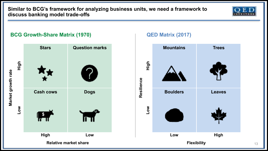**Similar to BCG's framework for analyzing business units, we need a framework to discuss banking model trade-offs**





13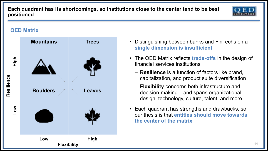**Each quadrant has its shortcomings, so institutions close to the center tend to be best positioned**



#### **QED Matrix**



- Distinguishing between banks and FinTechs on a **single dimension is insufficient**
- The QED Matrix reflects **trade-offs** in the design of financial services institutions
	- **Resilience** is a function of factors like brand, capitalization, and product suite diversification
	- **Flexibility** concerns both infrastructure and decision-making – and spans organizational design, technology, culture, talent, and more
- Each quadrant has strengths and drawbacks, so our thesis is that **entities should move towards the center of the matrix**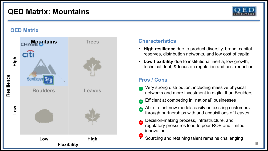### **QED Matrix: Mountains**



#### **QED Matrix**



#### **Characteristics**

- **High resilience** due to product diversity, brand, capital reserves, distribution networks, and low cost of capital
- **Low flexibility** due to institutional inertia, low growth, technical debt, & focus on regulation and cost reduction

- Very strong distribution, including massive physical networks and more investment in digital than Boulders **+**
- Efficient at competing in "national" businesses
- Able to test new models easily on existing customers through partnerships with and acquisitions of Leaves
- Decision-making process, infrastructure, and regulatory pressures lead to poor ROE and limited innovation
- Sourcing and retaining talent remains challenging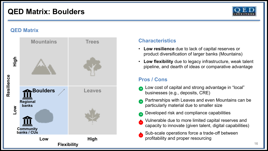### **QED Matrix: Boulders**



#### **QED Matrix**



#### **Characteristics**

- **Low resilience** due to lack of capital reserves or product diversification of larger banks (Mountains)
- **Low flexibility** due to legacy infrastructure, weak talent pipeline, and dearth of ideas or comparative advantage

- Low cost of capital and strong advantage in "local" businesses (e.g., deposits, CRE)
- Partnerships with Leaves and even Mountains can be particularly material due to smaller size **+**
- Developed risk and compliance capabilities
- Vulnerable due to more limited capital reserves and capacity to innovate (given talent, digital capabilities)
- Sub-scale operations force a trade-off between profitability and proper resourcing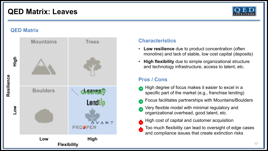### **QED Matrix: Leaves**



#### **QED Matrix**



#### **Characteristics**

- **Low resilience** due to product concentration (often monoline) and lack of stable, low cost capital (deposits)
- **High flexibility** due to simple organizational structure and technology infrastructure, access to talent, etc.

- High degree of focus makes it easier to excel in a specific part of the market (e.g., franchise lending)
- Focus facilitates partnerships with Mountains/Boulders **+**
- Very flexible model with minimal regulatory and organizational overhead, good talent, etc. **+**
- High cost of capital and customer acquisition
- Too much flexibility can lead to oversight of edge cases and compliance issues that create extinction risks **-**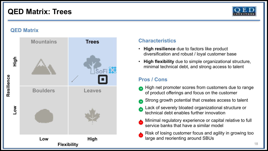### **QED Matrix: Trees**



#### **QED Matrix**



#### **Characteristics**

- **High resilience** due to factors like product diversification and robust / loyal customer base
- **High flexibility** due to simple organizational structure, minimal technical debt, and strong access to talent

- High net promoter scores from customers due to range **+** of product offerings and focus on the customer
- Strong growth potential that creates access to talent **+**
- Lack of severely bloated organizational structure or technical debt enables further innovation **+**
- Minimal regulatory experience or capital relative to full service banks that have a similar model
- Risk of losing customer focus and agility in growing too large and reorienting around SBUs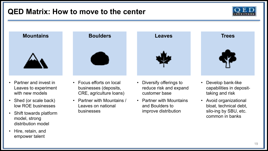### **QED Matrix: How to move to the center**





- Partner and invest in Leaves to experiment with new models
- Shed (or scale back) low ROE businesses
- Shift towards platform model, strong distribution model
- Hire, retain, and empower talent



- Focus efforts on local businesses (deposits, CRE, agriculture loans)
- Partner with Mountains / Leaves on national businesses



- Diversify offerings to reduce risk and expand customer base
- Partner with Mountains and Boulders to improve distribution



- Develop bank-like capabilities in deposittaking and risk
- Avoid organizational bloat, technical debt, silo-ing by SBU, etc. common in banks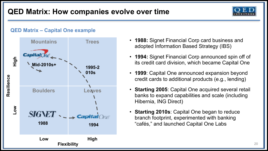### **QED Matrix: How companies evolve over time**



#### **QED Matrix – Capital One example**



- **1988:** Signet Financial Corp card business and adopted Information Based Strategy (IBS)
- **1994:** Signet Financial Corp announced spin off of its credit card division, which became Capital One
- **1999**: Capital One announced expansion beyond credit cards to additional products (e.g., lending)
- **Starting 2005**: Capital One acquired several retail banks to expand capabilities and scale (including Hibernia, ING Direct)
- **Starting 2010s**: Capital One began to reduce branch footprint, experimented with banking **1994** "cafés," and launched Capital One Labs